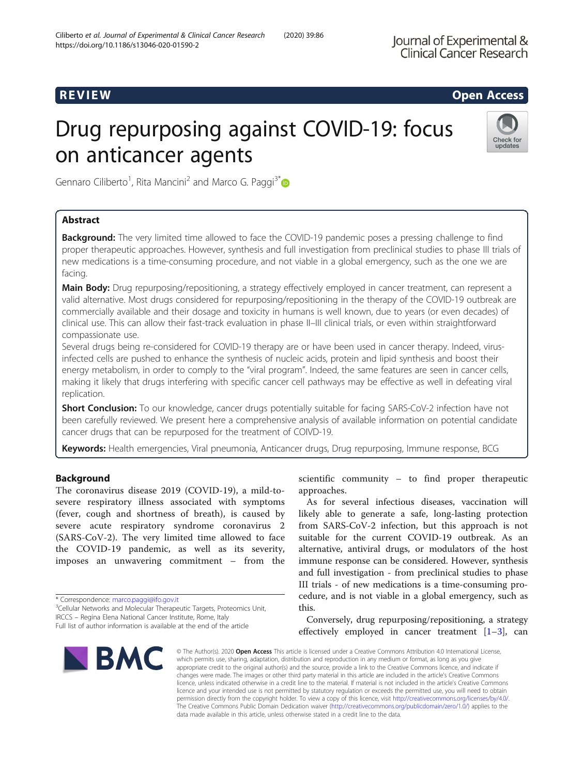# R EVI EW Open Access

# Drug repurposing against COVID-19: focus on anticancer agents



Gennaro Ciliberto<sup>1</sup>, Rita Mancini<sup>2</sup> and Marco G. Paggi<sup>3\*</sup>

# Abstract

**Background:** The very limited time allowed to face the COVID-19 pandemic poses a pressing challenge to find proper therapeutic approaches. However, synthesis and full investigation from preclinical studies to phase III trials of new medications is a time-consuming procedure, and not viable in a global emergency, such as the one we are facing.

Main Body: Drug repurposing/repositioning, a strategy effectively employed in cancer treatment, can represent a valid alternative. Most drugs considered for repurposing/repositioning in the therapy of the COVID-19 outbreak are commercially available and their dosage and toxicity in humans is well known, due to years (or even decades) of clinical use. This can allow their fast-track evaluation in phase II–III clinical trials, or even within straightforward compassionate use.

Several drugs being re-considered for COVID-19 therapy are or have been used in cancer therapy. Indeed, virusinfected cells are pushed to enhance the synthesis of nucleic acids, protein and lipid synthesis and boost their energy metabolism, in order to comply to the "viral program". Indeed, the same features are seen in cancer cells, making it likely that drugs interfering with specific cancer cell pathways may be effective as well in defeating viral replication.

**Short Conclusion:** To our knowledge, cancer drugs potentially suitable for facing SARS-CoV-2 infection have not been carefully reviewed. We present here a comprehensive analysis of available information on potential candidate cancer drugs that can be repurposed for the treatment of COIVD-19.

Keywords: Health emergencies, Viral pneumonia, Anticancer drugs, Drug repurposing, Immune response, BCG

# Background

The coronavirus disease 2019 (COVID-19), a mild-tosevere respiratory illness associated with symptoms (fever, cough and shortness of breath), is caused by severe acute respiratory syndrome coronavirus 2 (SARS-CoV-2). The very limited time allowed to face the COVID-19 pandemic, as well as its severity, imposes an unwavering commitment – from the

\* Correspondence: [marco.paggi@ifo.gov.it](mailto:marco.paggi@ifo.gov.it) <sup>3</sup>

IRCCS – Regina Elena National Cancer Institute, Rome, Italy Full list of author information is available at the end of the article



scientific community – to find proper therapeutic approaches.

As for several infectious diseases, vaccination will likely able to generate a safe, long-lasting protection from SARS-CoV-2 infection, but this approach is not suitable for the current COVID-19 outbreak. As an alternative, antiviral drugs, or modulators of the host immune response can be considered. However, synthesis and full investigation - from preclinical studies to phase III trials - of new medications is a time-consuming procedure, and is not viable in a global emergency, such as this.

Conversely, drug repurposing/repositioning, a strategy effectively employed in cancer treatment  $[1-3]$  $[1-3]$  $[1-3]$  $[1-3]$  $[1-3]$ , can

© The Author(s), 2020 **Open Access** This article is licensed under a Creative Commons Attribution 4.0 International License, which permits use, sharing, adaptation, distribution and reproduction in any medium or format, as long as you give appropriate credit to the original author(s) and the source, provide a link to the Creative Commons licence, and indicate if changes were made. The images or other third party material in this article are included in the article's Creative Commons licence, unless indicated otherwise in a credit line to the material. If material is not included in the article's Creative Commons licence and your intended use is not permitted by statutory regulation or exceeds the permitted use, you will need to obtain permission directly from the copyright holder. To view a copy of this licence, visit [http://creativecommons.org/licenses/by/4.0/.](http://creativecommons.org/licenses/by/4.0/) The Creative Commons Public Domain Dedication waiver [\(http://creativecommons.org/publicdomain/zero/1.0/](http://creativecommons.org/publicdomain/zero/1.0/)) applies to the data made available in this article, unless otherwise stated in a credit line to the data.

<sup>&</sup>lt;sup>3</sup>Cellular Networks and Molecular Therapeutic Targets, Proteomics Unit,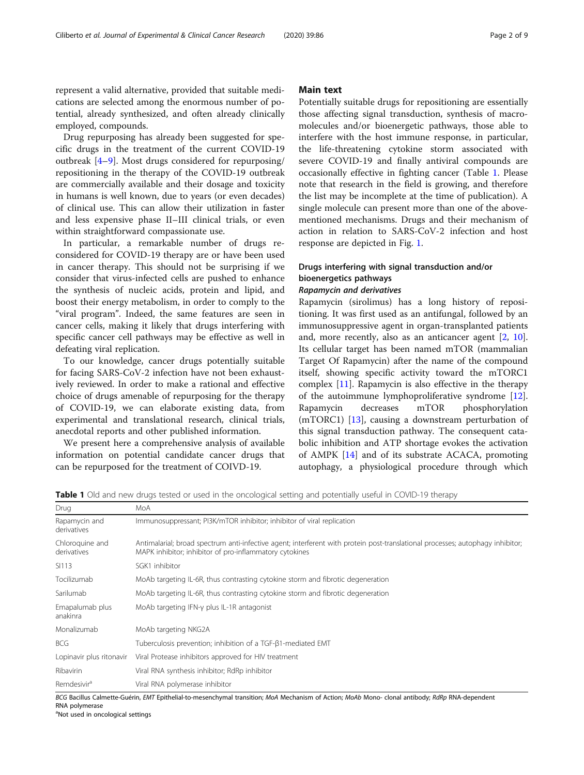represent a valid alternative, provided that suitable medications are selected among the enormous number of potential, already synthesized, and often already clinically employed, compounds.

Drug repurposing has already been suggested for specific drugs in the treatment of the current COVID-19 outbreak [\[4](#page-6-0)–[9](#page-6-0)]. Most drugs considered for repurposing/ repositioning in the therapy of the COVID-19 outbreak are commercially available and their dosage and toxicity in humans is well known, due to years (or even decades) of clinical use. This can allow their utilization in faster and less expensive phase II–III clinical trials, or even within straightforward compassionate use.

In particular, a remarkable number of drugs reconsidered for COVID-19 therapy are or have been used in cancer therapy. This should not be surprising if we consider that virus-infected cells are pushed to enhance the synthesis of nucleic acids, protein and lipid, and boost their energy metabolism, in order to comply to the "viral program". Indeed, the same features are seen in cancer cells, making it likely that drugs interfering with specific cancer cell pathways may be effective as well in defeating viral replication.

To our knowledge, cancer drugs potentially suitable for facing SARS-CoV-2 infection have not been exhaustively reviewed. In order to make a rational and effective choice of drugs amenable of repurposing for the therapy of COVID-19, we can elaborate existing data, from experimental and translational research, clinical trials, anecdotal reports and other published information.

We present here a comprehensive analysis of available information on potential candidate cancer drugs that can be repurposed for the treatment of COIVD-19.

# Main text

Potentially suitable drugs for repositioning are essentially those affecting signal transduction, synthesis of macromolecules and/or bioenergetic pathways, those able to interfere with the host immune response, in particular, the life-threatening cytokine storm associated with severe COVID-19 and finally antiviral compounds are occasionally effective in fighting cancer (Table 1. Please note that research in the field is growing, and therefore the list may be incomplete at the time of publication). A single molecule can present more than one of the abovementioned mechanisms. Drugs and their mechanism of action in relation to SARS-CoV-2 infection and host response are depicted in Fig. [1.](#page-2-0)

# Drugs interfering with signal transduction and/or bioenergetics pathways

# Rapamycin and derivatives

Rapamycin (sirolimus) has a long history of repositioning. It was first used as an antifungal, followed by an immunosuppressive agent in organ-transplanted patients and, more recently, also as an anticancer agent [\[2](#page-6-0), [10](#page-6-0)]. Its cellular target has been named mTOR (mammalian Target Of Rapamycin) after the name of the compound itself, showing specific activity toward the mTORC1 complex [\[11\]](#page-6-0). Rapamycin is also effective in the therapy of the autoimmune lymphoproliferative syndrome [\[12](#page-6-0)]. Rapamycin decreases mTOR phosphorylation (mTORC1) [\[13](#page-6-0)], causing a downstream perturbation of this signal transduction pathway. The consequent catabolic inhibition and ATP shortage evokes the activation of AMPK [\[14\]](#page-6-0) and of its substrate ACACA, promoting autophagy, a physiological procedure through which

Table 1 Old and new drugs tested or used in the oncological setting and potentially useful in COVID-19 therapy

| <b>I WINTE I</b> ON MIN HEM MINGS RESREN OF USEN III RIC OHEORGIEM SERRING MIN DOREHRMIT USERIN III COVID-IS RICHAPY |                                                                                                                                                                                           |
|----------------------------------------------------------------------------------------------------------------------|-------------------------------------------------------------------------------------------------------------------------------------------------------------------------------------------|
| Drug                                                                                                                 | MoA                                                                                                                                                                                       |
| Rapamycin and<br>derivatives                                                                                         | Immunosuppressant; PI3K/mTOR inhibitor; inhibitor of viral replication                                                                                                                    |
| Chloroguine and<br>derivatives                                                                                       | Antimalarial; broad spectrum anti-infective agent; interferent with protein post-translational processes; autophagy inhibitor;<br>MAPK inhibitor; inhibitor of pro-inflammatory cytokines |
| SI113                                                                                                                | SGK1 inhibitor                                                                                                                                                                            |
| Tocilizumab                                                                                                          | MoAb targeting IL-6R, thus contrasting cytokine storm and fibrotic degeneration                                                                                                           |
| Sarilumab                                                                                                            | MoAb targeting IL-6R, thus contrasting cytokine storm and fibrotic degeneration                                                                                                           |
| Emapalumab plus<br>anakinra                                                                                          | MoAb targeting IFN-y plus IL-1R antagonist                                                                                                                                                |
| Monalizumab                                                                                                          | MoAb targeting NKG2A                                                                                                                                                                      |
| <b>BCG</b>                                                                                                           | Tuberculosis prevention; inhibition of a TGF-81-mediated EMT                                                                                                                              |
| Lopinavir plus ritonavir                                                                                             | Viral Protease inhibitors approved for HIV treatment                                                                                                                                      |
| Ribavirin                                                                                                            | Viral RNA synthesis inhibitor; RdRp inhibitor                                                                                                                                             |
| Remdesivir <sup>a</sup>                                                                                              | Viral RNA polymerase inhibitor                                                                                                                                                            |

BCG Bacillus Calmette-Guérin, EMT Epithelial-to-mesenchymal transition; MoA Mechanism of Action; MoAb Mono- clonal antibody; RdRp RNA-dependent RNA polymerase

<sup>a</sup>Not used in oncological settings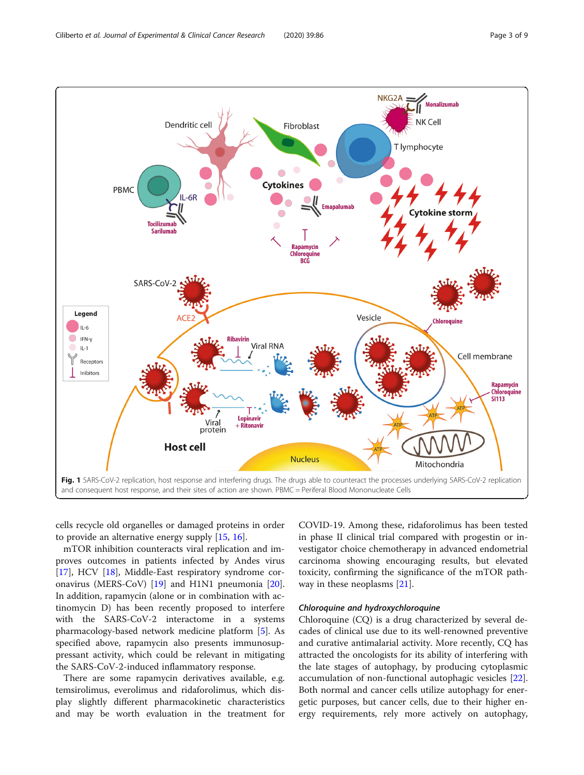<span id="page-2-0"></span>

cells recycle old organelles or damaged proteins in order to provide an alternative energy supply [\[15](#page-6-0), [16](#page-6-0)].

mTOR inhibition counteracts viral replication and improves outcomes in patients infected by Andes virus [[17\]](#page-6-0), HCV [[18\]](#page-6-0), Middle-East respiratory syndrome coronavirus (MERS-CoV) [[19\]](#page-6-0) and H1N1 pneumonia [\[20](#page-6-0)]. In addition, rapamycin (alone or in combination with actinomycin D) has been recently proposed to interfere with the SARS-CoV-2 interactome in a systems pharmacology-based network medicine platform [[5](#page-6-0)]. As specified above, rapamycin also presents immunosuppressant activity, which could be relevant in mitigating the SARS-CoV-2-induced inflammatory response.

There are some rapamycin derivatives available, e.g. temsirolimus, everolimus and ridaforolimus, which display slightly different pharmacokinetic characteristics and may be worth evaluation in the treatment for

COVID-19. Among these, ridaforolimus has been tested in phase II clinical trial compared with progestin or investigator choice chemotherapy in advanced endometrial carcinoma showing encouraging results, but elevated toxicity, confirming the significance of the mTOR pathway in these neoplasms [\[21](#page-6-0)].

# Chloroquine and hydroxychloroquine

Chloroquine (CQ) is a drug characterized by several decades of clinical use due to its well-renowned preventive and curative antimalarial activity. More recently, CQ has attracted the oncologists for its ability of interfering with the late stages of autophagy, by producing cytoplasmic accumulation of non-functional autophagic vesicles [\[22](#page-6-0)]. Both normal and cancer cells utilize autophagy for energetic purposes, but cancer cells, due to their higher energy requirements, rely more actively on autophagy,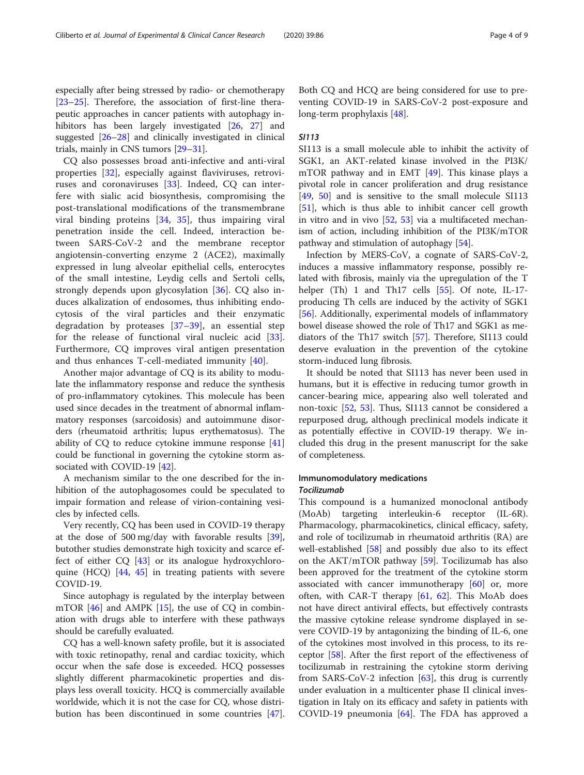especially after being stressed by radio- or chemotherapy [[23](#page-6-0)–[25](#page-6-0)]. Therefore, the association of first-line therapeutic approaches in cancer patients with autophagy in-hibitors has been largely investigated [[26,](#page-6-0) [27\]](#page-6-0) and suggested [[26](#page-6-0)–[28](#page-6-0)] and clinically investigated in clinical trials, mainly in CNS tumors [[29](#page-6-0)–[31](#page-6-0)].

CQ also possesses broad anti-infective and anti-viral properties [[32](#page-6-0)], especially against flaviviruses, retroviruses and coronaviruses [\[33](#page-6-0)]. Indeed, CQ can interfere with sialic acid biosynthesis, compromising the post-translational modifications of the transmembrane viral binding proteins [\[34](#page-6-0), [35\]](#page-7-0), thus impairing viral penetration inside the cell. Indeed, interaction between SARS-CoV-2 and the membrane receptor angiotensin-converting enzyme 2 (ACE2), maximally expressed in lung alveolar epithelial cells, enterocytes of the small intestine, Leydig cells and Sertoli cells, strongly depends upon glycosylation [[36\]](#page-7-0). CQ also induces alkalization of endosomes, thus inhibiting endocytosis of the viral particles and their enzymatic degradation by proteases [\[37](#page-7-0)–[39](#page-7-0)], an essential step for the release of functional viral nucleic acid [\[33](#page-6-0)]. Furthermore, CQ improves viral antigen presentation and thus enhances T-cell-mediated immunity [[40](#page-7-0)].

Another major advantage of CQ is its ability to modulate the inflammatory response and reduce the synthesis of pro-inflammatory cytokines. This molecule has been used since decades in the treatment of abnormal inflammatory responses (sarcoidosis) and autoimmune disorders (rheumatoid arthritis; lupus erythematosus). The ability of CQ to reduce cytokine immune response [[41](#page-7-0)] could be functional in governing the cytokine storm associated with COVID-19 [[42](#page-7-0)].

A mechanism similar to the one described for the inhibition of the autophagosomes could be speculated to impair formation and release of virion-containing vesicles by infected cells.

Very recently, CQ has been used in COVID-19 therapy at the dose of 500 mg/day with favorable results [\[39](#page-7-0)], butother studies demonstrate high toxicity and scarce effect of either CQ [\[43](#page-7-0)] or its analogue hydroxychloroquine (HCQ) [[44,](#page-7-0) [45\]](#page-7-0) in treating patients with severe COVID-19.

Since autophagy is regulated by the interplay between mTOR [[46\]](#page-7-0) and AMPK [\[15](#page-6-0)], the use of CQ in combination with drugs able to interfere with these pathways should be carefully evaluated.

CQ has a well-known safety profile, but it is associated with toxic retinopathy, renal and cardiac toxicity, which occur when the safe dose is exceeded. HCQ possesses slightly different pharmacokinetic properties and displays less overall toxicity. HCQ is commercially available worldwide, which it is not the case for CQ, whose distribution has been discontinued in some countries [\[47](#page-7-0)].

Both CQ and HCQ are being considered for use to preventing COVID-19 in SARS-CoV-2 post-exposure and long-term prophylaxis [[48](#page-7-0)].

# SI113

SI113 is a small molecule able to inhibit the activity of SGK1, an AKT-related kinase involved in the PI3K/ mTOR pathway and in EMT  $[49]$  $[49]$ . This kinase plays a pivotal role in cancer proliferation and drug resistance [[49,](#page-7-0) [50\]](#page-7-0) and is sensitive to the small molecule SI113 [[51\]](#page-7-0), which is thus able to inhibit cancer cell growth in vitro and in vivo [[52,](#page-7-0) [53\]](#page-7-0) via a multifaceted mechanism of action, including inhibition of the PI3K/mTOR pathway and stimulation of autophagy [[54](#page-7-0)].

Infection by MERS-CoV, a cognate of SARS-CoV-2, induces a massive inflammatory response, possibly related with fibrosis, mainly via the upregulation of the T helper (Th) 1 and Th17 cells [\[55](#page-7-0)]. Of note, IL-17producing Th cells are induced by the activity of SGK1 [[56\]](#page-7-0). Additionally, experimental models of inflammatory bowel disease showed the role of Th17 and SGK1 as mediators of the Th17 switch [[57\]](#page-7-0). Therefore, SI113 could deserve evaluation in the prevention of the cytokine storm-induced lung fibrosis.

It should be noted that SI113 has never been used in humans, but it is effective in reducing tumor growth in cancer-bearing mice, appearing also well tolerated and non-toxic [\[52](#page-7-0), [53](#page-7-0)]. Thus, SI113 cannot be considered a repurposed drug, although preclinical models indicate it as potentially effective in COVID-19 therapy. We included this drug in the present manuscript for the sake of completeness.

# Immunomodulatory medications **Tocilizumab**

This compound is a humanized monoclonal antibody (MoAb) targeting interleukin-6 receptor (IL-6R). Pharmacology, pharmacokinetics, clinical efficacy, safety, and role of tocilizumab in rheumatoid arthritis (RA) are well-established [[58\]](#page-7-0) and possibly due also to its effect on the AKT/mTOR pathway [[59\]](#page-7-0). Tocilizumab has also been approved for the treatment of the cytokine storm associated with cancer immunotherapy  $[60]$  $[60]$  or, more often, with CAR-T therapy  $[61, 62]$  $[61, 62]$  $[61, 62]$  $[61, 62]$ . This MoAb does not have direct antiviral effects, but effectively contrasts the massive cytokine release syndrome displayed in severe COVID-19 by antagonizing the binding of IL-6, one of the cytokines most involved in this process, to its receptor [[58\]](#page-7-0). After the first report of the effectiveness of tocilizumab in restraining the cytokine storm deriving from SARS-CoV-2 infection [[63](#page-7-0)], this drug is currently under evaluation in a multicenter phase II clinical investigation in Italy on its efficacy and safety in patients with COVID-19 pneumonia [\[64](#page-7-0)]. The FDA has approved a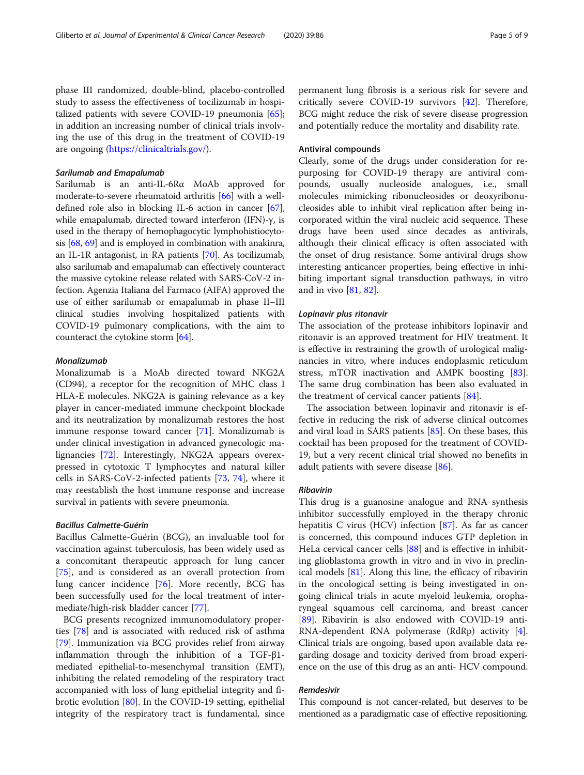phase III randomized, double-blind, placebo-controlled study to assess the effectiveness of tocilizumab in hospitalized patients with severe COVID-19 pneumonia [\[65](#page-7-0)]; in addition an increasing number of clinical trials involving the use of this drug in the treatment of COVID-19 are ongoing [\(https://clinicaltrials.gov/](https://clinicaltrials.gov/)).

# Sarilumab and Emapalumab

Sarilumab is an anti-IL-6Rα MoAb approved for moderate-to-severe rheumatoid arthritis [[66](#page-7-0)] with a welldefined role also in blocking IL-6 action in cancer [[67](#page-7-0)], while emapalumab, directed toward interferon (IFN)-γ, is used in the therapy of hemophagocytic lymphohistiocytosis [\[68,](#page-7-0) [69](#page-7-0)] and is employed in combination with anakinra, an IL-1R antagonist, in RA patients [\[70\]](#page-7-0). As tocilizumab, also sarilumab and emapalumab can effectively counteract the massive cytokine release related with SARS-CoV-2 infection. Agenzia Italiana del Farmaco (AIFA) approved the use of either sarilumab or emapalumab in phase II–III clinical studies involving hospitalized patients with COVID-19 pulmonary complications, with the aim to counteract the cytokine storm [[64](#page-7-0)].

# Monalizumab

Monalizumab is a MoAb directed toward NKG2A (CD94), a receptor for the recognition of MHC class I HLA-E molecules. NKG2A is gaining relevance as a key player in cancer-mediated immune checkpoint blockade and its neutralization by monalizumab restores the host immune response toward cancer [\[71](#page-7-0)]. Monalizumab is under clinical investigation in advanced gynecologic malignancies [[72](#page-7-0)]. Interestingly, NKG2A appears overexpressed in cytotoxic T lymphocytes and natural killer cells in SARS-CoV-2-infected patients [[73,](#page-7-0) [74](#page-8-0)], where it may reestablish the host immune response and increase survival in patients with severe pneumonia.

# Bacillus Calmette-Guérin

Bacillus Calmette-Guérin (BCG), an invaluable tool for vaccination against tuberculosis, has been widely used as a concomitant therapeutic approach for lung cancer [[75\]](#page-8-0), and is considered as an overall protection from lung cancer incidence [\[76](#page-8-0)]. More recently, BCG has been successfully used for the local treatment of intermediate/high-risk bladder cancer [\[77](#page-8-0)].

BCG presents recognized immunomodulatory properties [\[78\]](#page-8-0) and is associated with reduced risk of asthma [[79\]](#page-8-0). Immunization via BCG provides relief from airway inflammation through the inhibition of a TGF-β1 mediated epithelial-to-mesenchymal transition (EMT), inhibiting the related remodeling of the respiratory tract accompanied with loss of lung epithelial integrity and fibrotic evolution [[80\]](#page-8-0). In the COVID-19 setting, epithelial integrity of the respiratory tract is fundamental, since permanent lung fibrosis is a serious risk for severe and critically severe COVID-19 survivors [[42](#page-7-0)]. Therefore, BCG might reduce the risk of severe disease progression and potentially reduce the mortality and disability rate.

# Antiviral compounds

Clearly, some of the drugs under consideration for repurposing for COVID-19 therapy are antiviral compounds, usually nucleoside analogues, i.e., small molecules mimicking ribonucleosides or deoxyribonucleosides able to inhibit viral replication after being incorporated within the viral nucleic acid sequence. These drugs have been used since decades as antivirals, although their clinical efficacy is often associated with the onset of drug resistance. Some antiviral drugs show interesting anticancer properties, being effective in inhibiting important signal transduction pathways, in vitro and in vivo [\[81](#page-8-0), [82](#page-8-0)].

# Lopinavir plus ritonavir

The association of the protease inhibitors lopinavir and ritonavir is an approved treatment for HIV treatment. It is effective in restraining the growth of urological malignancies in vitro, where induces endoplasmic reticulum stress, mTOR inactivation and AMPK boosting [\[83](#page-8-0)]. The same drug combination has been also evaluated in the treatment of cervical cancer patients [\[84\]](#page-8-0).

The association between lopinavir and ritonavir is effective in reducing the risk of adverse clinical outcomes and viral load in SARS patients [[85\]](#page-8-0). On these bases, this cocktail has been proposed for the treatment of COVID-19, but a very recent clinical trial showed no benefits in adult patients with severe disease [[86\]](#page-8-0).

# Ribavirin

This drug is a guanosine analogue and RNA synthesis inhibitor successfully employed in the therapy chronic hepatitis C virus (HCV) infection [\[87](#page-8-0)]. As far as cancer is concerned, this compound induces GTP depletion in HeLa cervical cancer cells [\[88](#page-8-0)] and is effective in inhibiting glioblastoma growth in vitro and in vivo in preclinical models [[81\]](#page-8-0). Along this line, the efficacy of ribavirin in the oncological setting is being investigated in ongoing clinical trials in acute myeloid leukemia, oropharyngeal squamous cell carcinoma, and breast cancer [[89\]](#page-8-0). Ribavirin is also endowed with COVID-19 anti-RNA-dependent RNA polymerase (RdRp) activity [\[4](#page-6-0)]. Clinical trials are ongoing, based upon available data regarding dosage and toxicity derived from broad experience on the use of this drug as an anti- HCV compound.

# Remdesivir

This compound is not cancer-related, but deserves to be mentioned as a paradigmatic case of effective repositioning.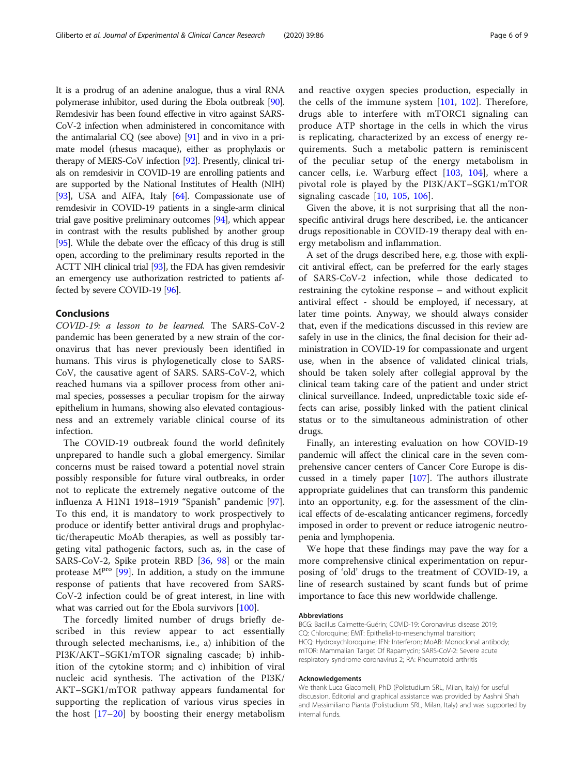It is a prodrug of an adenine analogue, thus a viral RNA polymerase inhibitor, used during the Ebola outbreak [\[90](#page-8-0)]. Remdesivir has been found effective in vitro against SARS-CoV-2 infection when administered in concomitance with the antimalarial CQ (see above) [\[91\]](#page-8-0) and in vivo in a primate model (rhesus macaque), either as prophylaxis or therapy of MERS-CoV infection [\[92\]](#page-8-0). Presently, clinical trials on remdesivir in COVID-19 are enrolling patients and are supported by the National Institutes of Health (NIH) [[93](#page-8-0)], USA and AIFA, Italy [[64](#page-7-0)]. Compassionate use of remdesivir in COVID-19 patients in a single-arm clinical trial gave positive preliminary outcomes [\[94\]](#page-8-0), which appear in contrast with the results published by another group [[95](#page-8-0)]. While the debate over the efficacy of this drug is still open, according to the preliminary results reported in the ACTT NIH clinical trial [\[93](#page-8-0)], the FDA has given remdesivir an emergency use authorization restricted to patients affected by severe COVID-19 [\[96](#page-8-0)].

# Conclusions

COVID-19: a lesson to be learned. The SARS-CoV-2 pandemic has been generated by a new strain of the coronavirus that has never previously been identified in humans. This virus is phylogenetically close to SARS-CoV, the causative agent of SARS. SARS-CoV-2, which reached humans via a spillover process from other animal species, possesses a peculiar tropism for the airway epithelium in humans, showing also elevated contagiousness and an extremely variable clinical course of its infection.

The COVID-19 outbreak found the world definitely unprepared to handle such a global emergency. Similar concerns must be raised toward a potential novel strain possibly responsible for future viral outbreaks, in order not to replicate the extremely negative outcome of the influenza A H1N1 1918–1919 "Spanish" pandemic [\[97](#page-8-0)]. To this end, it is mandatory to work prospectively to produce or identify better antiviral drugs and prophylactic/therapeutic MoAb therapies, as well as possibly targeting vital pathogenic factors, such as, in the case of SARS-CoV-2, Spike protein RBD [[36,](#page-7-0) [98](#page-8-0)] or the main protease M<sup>pro</sup> [\[99\]](#page-8-0). In addition, a study on the immune response of patients that have recovered from SARS-CoV-2 infection could be of great interest, in line with what was carried out for the Ebola survivors [\[100\]](#page-8-0).

The forcedly limited number of drugs briefly described in this review appear to act essentially through selected mechanisms, i.e., a) inhibition of the PI3K/AKT–SGK1/mTOR signaling cascade; b) inhibition of the cytokine storm; and c) inhibition of viral nucleic acid synthesis. The activation of the PI3K/ AKT–SGK1/mTOR pathway appears fundamental for supporting the replication of various virus species in the host  $[17–20]$  $[17–20]$  $[17–20]$  $[17–20]$  by boosting their energy metabolism and reactive oxygen species production, especially in the cells of the immune system [[101,](#page-8-0) [102](#page-8-0)]. Therefore, drugs able to interfere with mTORC1 signaling can produce ATP shortage in the cells in which the virus is replicating, characterized by an excess of energy requirements. Such a metabolic pattern is reminiscent of the peculiar setup of the energy metabolism in cancer cells, i.e. Warburg effect [[103,](#page-8-0) [104\]](#page-8-0), where a pivotal role is played by the PI3K/AKT–SGK1/mTOR signaling cascade [\[10](#page-6-0), [105,](#page-8-0) [106\]](#page-8-0).

Given the above, it is not surprising that all the nonspecific antiviral drugs here described, i.e. the anticancer drugs repositionable in COVID-19 therapy deal with energy metabolism and inflammation.

A set of the drugs described here, e.g. those with explicit antiviral effect, can be preferred for the early stages of SARS-CoV-2 infection, while those dedicated to restraining the cytokine response – and without explicit antiviral effect - should be employed, if necessary, at later time points. Anyway, we should always consider that, even if the medications discussed in this review are safely in use in the clinics, the final decision for their administration in COVID-19 for compassionate and urgent use, when in the absence of validated clinical trials, should be taken solely after collegial approval by the clinical team taking care of the patient and under strict clinical surveillance. Indeed, unpredictable toxic side effects can arise, possibly linked with the patient clinical status or to the simultaneous administration of other drugs.

Finally, an interesting evaluation on how COVID-19 pandemic will affect the clinical care in the seven comprehensive cancer centers of Cancer Core Europe is discussed in a timely paper [[107](#page-8-0)]. The authors illustrate appropriate guidelines that can transform this pandemic into an opportunity, e.g. for the assessment of the clinical effects of de-escalating anticancer regimens, forcedly imposed in order to prevent or reduce iatrogenic neutropenia and lymphopenia.

We hope that these findings may pave the way for a more comprehensive clinical experimentation on repurposing of 'old' drugs to the treatment of COVID-19, a line of research sustained by scant funds but of prime importance to face this new worldwide challenge.

#### Abbreviations

BCG: Bacillus Calmette-Guérin; COVID-19: Coronavirus disease 2019; CQ: Chloroquine; EMT: Epithelial-to-mesenchymal transition; HCQ: Hydroxychloroquine; IFN: Interferon; MoAB: Monoclonal antibody; mTOR: Mammalian Target Of Rapamycin; SARS-CoV-2: Severe acute respiratory syndrome coronavirus 2; RA: Rheumatoid arthritis

## Acknowledgements

We thank Luca Giacomelli, PhD (Polistudium SRL, Milan, Italy) for useful discussion. Editorial and graphical assistance was provided by Aashni Shah and Massimiliano Pianta (Polistudium SRL, Milan, Italy) and was supported by internal funds.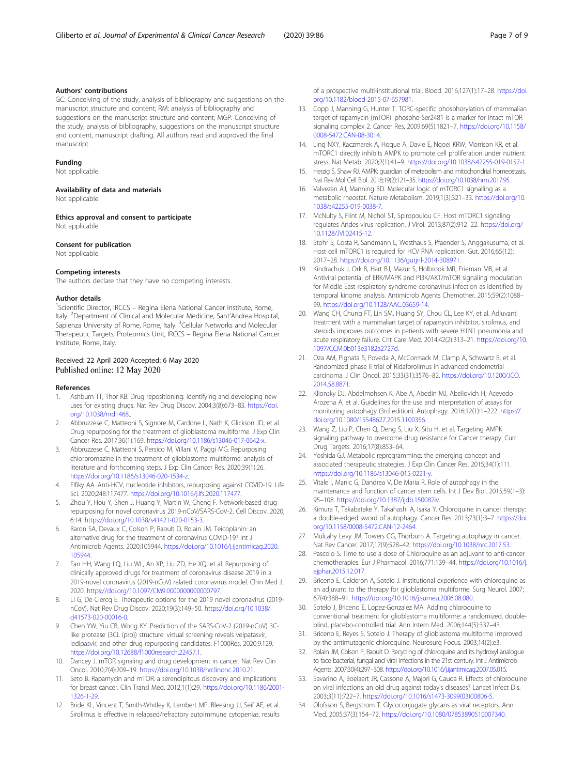# <span id="page-6-0"></span>Authors' contributions

GC: Conceiving of the study, analysis of bibliography and suggestions on the manuscript structure and content; RM: analysis of bibliography and suggestions on the manuscript structure and content; MGP: Conceiving of the study, analysis of bibliography, suggestions on the manuscript structure and content, manuscript drafting. All authors read and approved the final manuscript.

## Funding

Not applicable.

# Availability of data and materials

Not applicable.

Ethics approval and consent to participate Not applicable.

# Consent for publication

Not applicable.

# Competing interests

The authors declare that they have no competing interests.

#### Author details

<sup>1</sup>Scientific Director, IRCCS - Regina Elena National Cancer Institute, Rome, Italy. <sup>2</sup>Department of Clinical and Molecular Medicine, Sant'Andrea Hospital, Sapienza University of Rome, Rome, Italy. <sup>3</sup>Cellular Networks and Molecular Therapeutic Targets, Proteomics Unit, IRCCS – Regina Elena National Cancer Institute, Rome, Italy.

# Received: 22 April 2020 Accepted: 6 May 2020 Published online: 12 May 2020

# References

- 1. Ashburn TT, Thor KB. Drug repositioning: identifying and developing new uses for existing drugs. Nat Rev Drug Discov. 2004;3(8):673–83. [https://doi.](https://doi.org/10.1038/nrd1468) [org/10.1038/nrd1468](https://doi.org/10.1038/nrd1468)..
- 2. Abbruzzese C, Matteoni S, Signore M, Cardone L, Nath K, Glickson JD, et al. Drug repurposing for the treatment of glioblastoma multiforme. J Exp Clin Cancer Res. 2017;36(1):169. [https://doi.org/10.1186/s13046-017-0642-x.](https://doi.org/10.1186/s13046-017-0642-x)
- 3. Abbruzzese C, Matteoni S, Persico M, Villani V, Paggi MG. Repurposing chlorpromazine in the treatment of glioblastoma multiforme: analysis of literature and forthcoming steps. J Exp Clin Cancer Res. 2020;39(1):26. [https://doi.org/10.1186/s13046-020-1534-z.](https://doi.org/10.1186/s13046-020-1534-z)
- 4. Elfiky AA. Anti-HCV, nucleotide inhibitors, repurposing against COVID-19. Life Sci. 2020;248:117477. <https://doi.org/10.1016/j.lfs.2020.117477>.
- 5. Zhou Y, Hou Y, Shen J, Huang Y, Martin W, Cheng F. Network-based drug repurposing for novel coronavirus 2019-nCoV/SARS-CoV-2. Cell Discov. 2020; 6:14. [https://doi.org/10.1038/s41421-020-0153-3.](https://doi.org/10.1038/s41421-020-0153-3)
- 6. Baron SA, Devaux C, Colson P, Raoult D, Rolain JM. Teicoplanin: an alternative drug for the treatment of coronavirus COVID-19? Int J Antimicrob Agents. 2020;105944. [https://doi.org/10.1016/j.ijantimicag.2020.](https://doi.org/10.1016/j.ijantimicag.2020.105944) [105944](https://doi.org/10.1016/j.ijantimicag.2020.105944).
- 7. Fan HH, Wang LQ, Liu WL, An XP, Liu ZD, He XQ, et al. Repurposing of clinically approved drugs for treatment of coronavirus disease 2019 in a 2019-novel coronavirus (2019-nCoV) related coronavirus model. Chin Med J. 2020. [https://doi.org/10.1097/CM9.0000000000000797.](https://doi.org/10.1097/CM9.0000000000000797)
- 8. Li G, De Clercq E. Therapeutic options for the 2019 novel coronavirus (2019 nCoV). Nat Rev Drug Discov. 2020;19(3):149–50. [https://doi.org/10.1038/](https://doi.org/10.1038/d41573-020-00016-0) [d41573-020-00016-0.](https://doi.org/10.1038/d41573-020-00016-0)
- 9. Chen YW, Yiu CB, Wong KY. Prediction of the SARS-CoV-2 (2019-nCoV) 3Clike protease (3CL (pro)) structure: virtual screening reveals velpatasvir, ledipasvir, and other drug repurposing candidates. F1000Res. 2020;9:129. <https://doi.org/10.12688/f1000research.22457.1>.
- 10. Dancey J. mTOR signaling and drug development in cancer. Nat Rev Clin Oncol. 2010;7(4):209–19. [https://doi.org/10.1038/nrclinonc.2010.21.](https://doi.org/10.1038/nrclinonc.2010.21)
- 11. Seto B. Rapamycin and mTOR: a serendipitous discovery and implications for breast cancer. Clin Transl Med. 2012;1(1):29. [https://doi.org/10.1186/2001-](https://doi.org/10.1186/2001-1326-1-29) [1326-1-29.](https://doi.org/10.1186/2001-1326-1-29)
- 12. Bride KL, Vincent T, Smith-Whitley K, Lambert MP, Bleesing JJ, Seif AE, et al. Sirolimus is effective in relapsed/refractory autoimmune cytopenias: results

of a prospective multi-institutional trial. Blood. 2016;127(1):17–28. [https://doi.](https://doi.org/10.1182/blood-2015-07-657981) [org/10.1182/blood-2015-07-657981.](https://doi.org/10.1182/blood-2015-07-657981)

- 13. Copp J, Manning G, Hunter T. TORC-specific phosphorylation of mammalian target of rapamycin (mTOR): phospho-Ser2481 is a marker for intact mTOR signaling complex 2. Cancer Res. 2009;69(5):1821–7. [https://doi.org/10.1158/](https://doi.org/10.1158/0008-5472.CAN-08-3014) [0008-5472.CAN-08-3014.](https://doi.org/10.1158/0008-5472.CAN-08-3014)
- 14. Ling NXY, Kaczmarek A, Hoque A, Davie E, Ngoei KRW, Morrison KR, et al. mTORC1 directly inhibits AMPK to promote cell proliferation under nutrient stress. Nat Metab. 2020;2(1):41–9. [https://doi.org/10.1038/s42255-019-0157-1.](https://doi.org/10.1038/s42255-019-0157-1)
- 15. Herzig S, Shaw RJ. AMPK: guardian of metabolism and mitochondrial homeostasis. Nat Rev Mol Cell Biol. 2018;19(2):121–35. [https://doi.org/10.1038/nrm.2017.95.](https://doi.org/10.1038/nrm.2017.95)
- 16. Valvezan AJ, Manning BD. Molecular logic of mTORC1 signalling as a metabolic rheostat. Nature Metabolism. 2019;1(3):321–33. [https://doi.org/10.](https://doi.org/10.1038/s42255-019-0038-7) [1038/s42255-019-0038-7](https://doi.org/10.1038/s42255-019-0038-7).
- 17. McNulty S, Flint M, Nichol ST, Spiropoulou CF. Host mTORC1 signaling regulates Andes virus replication. J Virol. 2013;87(2):912–22. [https://doi.org/](https://doi.org/10.1128/JVI.02415-12) [10.1128/JVI.02415-12](https://doi.org/10.1128/JVI.02415-12).
- 18. Stohr S, Costa R, Sandmann L, Westhaus S, Pfaender S, Anggakusuma, et al. Host cell mTORC1 is required for HCV RNA replication. Gut. 2016;65(12): 2017–28. <https://doi.org/10.1136/gutjnl-2014-308971>.
- 19. Kindrachuk J, Ork B, Hart BJ, Mazur S, Holbrook MR, Frieman MB, et al. Antiviral potential of ERK/MAPK and PI3K/AKT/mTOR signaling modulation for Middle East respiratory syndrome coronavirus infection as identified by temporal kinome analysis. Antimicrob Agents Chemother. 2015;59(2):1088– 99. [https://doi.org/10.1128/AAC.03659-14.](https://doi.org/10.1128/AAC.03659-14)
- 20. Wang CH, Chung FT, Lin SM, Huang SY, Chou CL, Lee KY, et al. Adjuvant treatment with a mammalian target of rapamycin inhibitor, sirolimus, and steroids improves outcomes in patients with severe H1N1 pneumonia and acute respiratory failure. Crit Care Med. 2014;42(2):313–21. [https://doi.org/10.](https://doi.org/10.1097/CCM.0b013e3182a2727d) [1097/CCM.0b013e3182a2727d.](https://doi.org/10.1097/CCM.0b013e3182a2727d)
- 21. Oza AM, Pignata S, Poveda A, McCormack M, Clamp A, Schwartz B, et al. Randomized phase II trial of Ridaforolimus in advanced endometrial carcinoma. J Clin Oncol. 2015;33(31):3576–82. [https://doi.org/10.1200/JCO.](https://doi.org/10.1200/JCO.2014.58.8871) [2014.58.8871](https://doi.org/10.1200/JCO.2014.58.8871).
- 22. Klionsky DJ, Abdelmohsen K, Abe A, Abedin MJ, Abeliovich H, Acevedo Arozena A, et al. Guidelines for the use and interpretation of assays for monitoring autophagy (3rd edition). Autophagy. 2016;12(1):1–222. [https://](https://doi.org/10.1080/15548627.2015.1100356) [doi.org/10.1080/15548627.2015.1100356.](https://doi.org/10.1080/15548627.2015.1100356)
- 23. Wang Z, Liu P, Chen Q, Deng S, Liu X, Situ H, et al. Targeting AMPK signaling pathway to overcome drug resistance for Cancer therapy. Curr Drug Targets. 2016;17(8):853–64.
- 24. Yoshida GJ. Metabolic reprogramming: the emerging concept and associated therapeutic strategies. J Exp Clin Cancer Res. 2015;34(1):111. [https://doi.org/10.1186/s13046-015-0221-y.](https://doi.org/10.1186/s13046-015-0221-y)
- 25. Vitale I, Manic G, Dandrea V, De Maria R. Role of autophagy in the maintenance and function of cancer stem cells. Int J Dev Biol. 2015;59(1–3): 95–108. [https://doi.org/10.1387/ijdb.150082iv.](https://doi.org/10.1387/ijdb.150082iv)
- 26. Kimura T, Takabatake Y, Takahashi A, Isaka Y. Chloroquine in cancer therapy: a double-edged sword of autophagy. Cancer Res. 2013;73(1):3–7. [https://doi.](https://doi.org/10.1158/0008-5472.CAN-12-2464) [org/10.1158/0008-5472.CAN-12-2464.](https://doi.org/10.1158/0008-5472.CAN-12-2464)
- 27. Mulcahy Levy JM, Towers CG, Thorburn A. Targeting autophagy in cancer. Nat Rev Cancer. 2017;17(9):528–42. [https://doi.org/10.1038/nrc.2017.53.](https://doi.org/10.1038/nrc.2017.53)
- 28. Pascolo S. Time to use a dose of Chloroquine as an adjuvant to anti-cancer chemotherapies. Eur J Pharmacol. 2016;771:139–44. [https://doi.org/10.1016/j.](https://doi.org/10.1016/j.ejphar.2015.12.017) [ejphar.2015.12.017.](https://doi.org/10.1016/j.ejphar.2015.12.017)
- 29. Briceno E, Calderon A, Sotelo J. Institutional experience with chloroquine as an adjuvant to the therapy for glioblastoma multiforme. Surg Neurol. 2007; 67(4):388–91. <https://doi.org/10.1016/j.surneu.2006.08.080>.
- 30. Sotelo J, Briceno E, Lopez-Gonzalez MA. Adding chloroquine to conventional treatment for glioblastoma multiforme: a randomized, doubleblind, placebo-controlled trial. Ann Intern Med. 2006;144(5):337–43.
- 31. Briceno E, Reyes S, Sotelo J. Therapy of glioblastoma multiforme improved by the antimutagenic chloroquine. Neurosurg Focus. 2003;14(2):e3.
- 32. Rolain JM, Colson P, Raoult D. Recycling of chloroquine and its hydroxyl analogue to face bacterial, fungal and viral infections in the 21st century. Int J Antimicrob Agents. 2007;30(4):297–308. <https://doi.org/10.1016/j.ijantimicag.2007.05.015>.
- 33. Savarino A, Boelaert JR, Cassone A, Majori G, Cauda R. Effects of chloroquine on viral infections: an old drug against today's diseases? Lancet Infect Dis. 2003;3(11):722–7. [https://doi.org/10.1016/s1473-3099\(03\)00806-5.](https://doi.org/10.1016/s1473-3099(03)00806-5)
- 34. Olofsson S, Bergstrom T. Glycoconjugate glycans as viral receptors. Ann Med. 2005;37(3):154–72. [https://doi.org/10.1080/07853890510007340.](https://doi.org/10.1080/07853890510007340)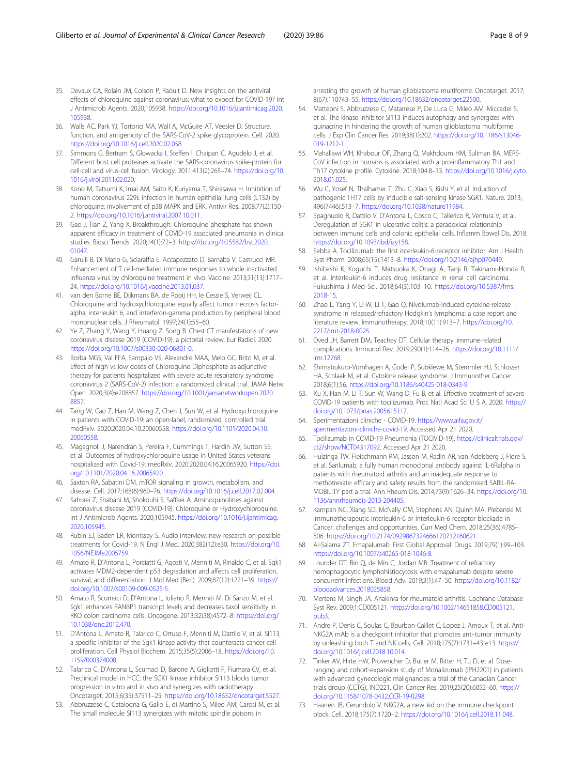- <span id="page-7-0"></span>35. Devaux CA, Rolain JM, Colson P, Raoult D. New insights on the antiviral effects of chloroquine against coronavirus: what to expect for COVID-19? Int J Antimicrob Agents. 2020;105938. [https://doi.org/10.1016/j.ijantimicag.2020.](https://doi.org/10.1016/j.ijantimicag.2020.105938) [105938](https://doi.org/10.1016/j.ijantimicag.2020.105938).
- 36. Walls AC, Park YJ, Tortorici MA, Wall A, McGuire AT, Veesler D. Structure, function, and antigenicity of the SARS-CoV-2 spike glycoprotein. Cell. 2020. <https://doi.org/10.1016/j.cell.2020.02.058>.
- 37. Simmons G, Bertram S, Glowacka I, Steffen I, Chaipan C, Agudelo J, et al. Different host cell proteases activate the SARS-coronavirus spike-protein for cell-cell and virus-cell fusion. Virology. 2011;413(2):265–74. [https://doi.org/10.](https://doi.org/10.1016/j.virol.2011.02.020) [1016/j.virol.2011.02.020.](https://doi.org/10.1016/j.virol.2011.02.020)
- 38. Kono M, Tatsumi K, Imai AM, Saito K, Kuriyama T, Shirasawa H. Inhibition of human coronavirus 229E infection in human epithelial lung cells (L132) by chloroquine: involvement of p38 MAPK and ERK. Antivir Res. 2008;77(2):150– 2. [https://doi.org/10.1016/j.antiviral.2007.10.011.](https://doi.org/10.1016/j.antiviral.2007.10.011)
- 39. Gao J, Tian Z, Yang X. Breakthrough: Chloroquine phosphate has shown apparent efficacy in treatment of COVID-19 associated pneumonia in clinical studies. Biosci Trends. 2020;14(1):72–3. [https://doi.org/10.5582/bst.2020.](https://doi.org/10.5582/bst.2020.01047) [01047.](https://doi.org/10.5582/bst.2020.01047)
- 40. Garulli B, Di Mario G, Sciaraffia E, Accapezzato D, Barnaba V, Castrucci MR. Enhancement of T cell-mediated immune responses to whole inactivated influenza virus by chloroquine treatment in vivo. Vaccine. 2013;31(13):1717– 24. <https://doi.org/10.1016/j.vaccine.2013.01.037>.
- 41. van den Borne BE, Dijkmans BA, de Rooij HH, le Cessie S, Verweij CL. Chloroquine and hydroxychloroquine equally affect tumor necrosis factoralpha, interleukin 6, and interferon-gamma production by peripheral blood mononuclear cells. J Rheumatol. 1997;24(1):55–60.
- 42. Ye Z, Zhang Y, Wang Y, Huang Z, Song B. Chest CT manifestations of new coronavirus disease 2019 (COVID-19): a pictorial review. Eur Radiol. 2020. [https://doi.org/10.1007/s00330-020-06801-0.](https://doi.org/10.1007/s00330-020-06801-0)
- 43. Borba MGS, Val FFA, Sampaio VS, Alexandre MAA, Melo GC, Brito M, et al. Effect of high vs low doses of Chloroquine Diphosphate as adjunctive therapy for patients hospitalized with severe acute respiratory syndrome coronavirus 2 (SARS-CoV-2) infection: a randomized clinical trial. JAMA Netw Open. 2020;3(4):e208857. [https://doi.org/10.1001/jamanetworkopen.2020.](https://doi.org/10.1001/jamanetworkopen.2020.8857) [8857](https://doi.org/10.1001/jamanetworkopen.2020.8857).
- 44. Tang W, Cao Z, Han M, Wang Z, Chen J, Sun W, et al. Hydroxychloroquine in patients with COVID-19: an open-label, randomized, controlled trial. medRxiv. 2020:2020.04.10.20060558. [https://doi.org/10.1101/2020.04.10.](https://doi.org/10.1101/2020.04.10.20060558) [20060558.](https://doi.org/10.1101/2020.04.10.20060558)
- 45. Magagnoli J, Narendran S, Pereira F, Cummings T, Hardin JW, Sutton SS, et al. Outcomes of hydroxychloroquine usage in United States veterans hospitalized with Covid-19. medRxiv. 2020:2020.04.16.20065920. [https://doi.](https://doi.org/10.1101/2020.04.16.20065920) [org/10.1101/2020.04.16.20065920](https://doi.org/10.1101/2020.04.16.20065920).
- 46. Saxton RA, Sabatini DM. mTOR signaling in growth, metabolism, and disease. Cell. 2017;168(6):960–76. <https://doi.org/10.1016/j.cell.2017.02.004>.
- 47. Sahraei Z, Shabani M, Shokouhi S, Saffaei A. Aminoquinolines against coronavirus disease 2019 (COVID-19): Chloroquine or Hydroxychloroquine. Int J Antimicrob Agents. 2020;105945. [https://doi.org/10.1016/j.ijantimicag.](https://doi.org/10.1016/j.ijantimicag.2020.105945) [2020.105945.](https://doi.org/10.1016/j.ijantimicag.2020.105945)
- 48. Rubin EJ, Baden LR, Morrissey S. Audio interview: new research on possible treatments for Covid-19. N Engl J Med. 2020;382(12):e30. [https://doi.org/10.](https://doi.org/10.1056/NEJMe2005759) [1056/NEJMe2005759.](https://doi.org/10.1056/NEJMe2005759)
- 49. Amato R, D'Antona L, Porciatti G, Agosti V, Menniti M, Rinaldo C, et al. Sgk1 activates MDM2-dependent p53 degradation and affects cell proliferation, survival, and differentiation. J Mol Med (Berl). 2009;87(12):1221–39. [https://](https://doi.org/10.1007/s00109-009-0525-5) [doi.org/10.1007/s00109-009-0525-5](https://doi.org/10.1007/s00109-009-0525-5).
- 50. Amato R, Scumaci D, D'Antona L, Iuliano R, Menniti M, Di Sanzo M, et al. Sgk1 enhances RANBP1 transcript levels and decreases taxol sensitivity in RKO colon carcinoma cells. Oncogene. 2013;32(38):4572–8. [https://doi.org/](https://doi.org/10.1038/onc.2012.470) [10.1038/onc.2012.470.](https://doi.org/10.1038/onc.2012.470)
- 51. D'Antona L, Amato R, Talarico C, Ortuso F, Menniti M, Dattilo V, et al. SI113, a specific inhibitor of the Sgk1 kinase activity that counteracts cancer cell proliferation. Cell Physiol Biochem. 2015;35(5):2006–18. [https://doi.org/10.](https://doi.org/10.1159/000374008) [1159/000374008](https://doi.org/10.1159/000374008).
- 52. Talarico C, D'Antona L, Scumaci D, Barone A, Gigliotti F, Fiumara CV, et al. Preclinical model in HCC: the SGK1 kinase inhibitor SI113 blocks tumor progression in vitro and in vivo and synergizes with radiotherapy. Oncotarget. 2015;6(35):37511–25. [https://doi.org/10.18632/oncotarget.5527.](https://doi.org/10.18632/oncotarget.5527)
- 53. Abbruzzese C, Catalogna G, Gallo E, di Martino S, Mileo AM, Carosi M, et al. The small molecule SI113 synergizes with mitotic spindle poisons in

arresting the growth of human glioblastoma multiforme. Oncotarget. 2017; 8(67):110743–55. <https://doi.org/10.18632/oncotarget.22500>.

- 54. Matteoni S, Abbruzzese C, Matarrese P, De Luca G, Mileo AM, Miccadei S, et al. The kinase inhibitor SI113 induces autophagy and synergizes with quinacrine in hindering the growth of human glioblastoma multiforme cells. J Exp Clin Cancer Res. 2019;38(1):202. [https://doi.org/10.1186/s13046-](https://doi.org/10.1186/s13046-019-1212-1) [019-1212-1](https://doi.org/10.1186/s13046-019-1212-1).
- 55. Mahallawi WH, Khabour OF, Zhang Q, Makhdoum HM, Suliman BA. MERS-CoV infection in humans is associated with a pro-inflammatory Th1 and Th17 cytokine profile. Cytokine. 2018;104:8–13. [https://doi.org/10.1016/j.cyto.](https://doi.org/10.1016/j.cyto.2018.01.025) [2018.01.025.](https://doi.org/10.1016/j.cyto.2018.01.025)
- 56. Wu C, Yosef N, Thalhamer T, Zhu C, Xiao S, Kishi Y, et al. Induction of pathogenic TH17 cells by inducible salt-sensing kinase SGK1. Nature. 2013; 496(7446):513–7. [https://doi.org/10.1038/nature11984.](https://doi.org/10.1038/nature11984)
- 57. Spagnuolo R, Dattilo V, D'Antona L, Cosco C, Tallerico R, Ventura V, et al. Deregulation of SGK1 in ulcerative colitis: a paradoxical relationship between immune cells and colonic epithelial cells. Inflamm Bowel Dis. 2018. <https://doi.org/10.1093/ibd/izy158>.
- 58. Sebba A. Tocilizumab: the first interleukin-6-receptor inhibitor. Am J Health Syst Pharm. 2008;65(15):1413–8. <https://doi.org/10.2146/ajhp070449>.
- 59. Ishibashi K, Koguchi T, Matsuoka K, Onagi A, Tanji R, Takinami-Honda R, et al. Interleukin-6 induces drug resistance in renal cell carcinoma. Fukushima J Med Sci. 2018;64(3):103–10. [https://doi.org/10.5387/fms.](https://doi.org/10.5387/fms.2018-15) [2018-15.](https://doi.org/10.5387/fms.2018-15)
- 60. Zhao L, Yang Y, Li W, Li T, Gao Q. Nivolumab-induced cytokine-release syndrome in relapsed/refractory Hodgkin's lymphoma: a case report and literature review. Immunotherapy. 2018;10(11):913–7. [https://doi.org/10.](https://doi.org/10.2217/imt-2018-0025) [2217/imt-2018-0025.](https://doi.org/10.2217/imt-2018-0025)
- 61. Oved JH, Barrett DM, Teachey DT. Cellular therapy: immune-related complications. Immunol Rev. 2019;290(1):114–26. [https://doi.org/10.1111/](https://doi.org/10.1111/imr.12768) [imr.12768](https://doi.org/10.1111/imr.12768).
- 62. Shimabukuro-Vornhagen A, Godel P, Subklewe M, Stemmler HJ, Schlosser HA, Schlaak M, et al. Cytokine release syndrome. J Immunother Cancer. 2018;6(1):56. [https://doi.org/10.1186/s40425-018-0343-9.](https://doi.org/10.1186/s40425-018-0343-9)
- 63. Xu X, Han M, Li T, Sun W, Wang D, Fu B, et al. Effective treatment of severe COVID-19 patients with tocilizumab. Proc Natl Acad Sci U S A. 2020. [https://](https://doi.org/10.1073/pnas.2005615117) [doi.org/10.1073/pnas.2005615117](https://doi.org/10.1073/pnas.2005615117).
- 64. Sperimentazioni cliniche COVID-19. [https://www.aifa.gov.it/](https://www.aifa.gov.it/sperimentazioni-cliniche-covid-19) [sperimentazioni-cliniche-covid-19.](https://www.aifa.gov.it/sperimentazioni-cliniche-covid-19) Accessed Apr 21 2020.
- 65. Tocilizumab in COVID-19 Pneumonia (TOCIVID-19). [https://clinicaltrials.gov/](https://clinicaltrials.gov/ct2/show/NCT04317092) [ct2/show/NCT04317092.](https://clinicaltrials.gov/ct2/show/NCT04317092) Accessed Apr 21 2020.
- 66. Huizinga TW, Fleischmann RM, Jasson M, Radin AR, van Adelsberg J, Fiore S, et al. Sarilumab, a fully human monoclonal antibody against IL-6Ralpha in patients with rheumatoid arthritis and an inadequate response to methotrexate: efficacy and safety results from the randomised SARIL-RA-MOBILITY part a trial. Ann Rheum Dis. 2014;73(9):1626–34. [https://doi.org/10.](https://doi.org/10.1136/annrheumdis-2013-204405) [1136/annrheumdis-2013-204405.](https://doi.org/10.1136/annrheumdis-2013-204405)
- 67. Kampan NC, Xiang SD, McNally OM, Stephens AN, Quinn MA, Plebanski M. Immunotherapeutic Interleukin-6 or Interleukin-6 receptor blockade in Cancer: challenges and opportunities. Curr Med Chem. 2018;25(36):4785– 806. [https://doi.org/10.2174/0929867324666170712160621.](https://doi.org/10.2174/0929867324666170712160621)
- 68. Al-Salama ZT. Emapalumab: First Global Approval. Drugs. 2019;79(1):99–103. <https://doi.org/10.1007/s40265-018-1046-8>.
- 69. Lounder DT, Bin Q, de Min C, Jordan MB. Treatment of refractory hemophagocytic lymphohistiocytosis with emapalumab despite severe concurrent infections. Blood Adv. 2019;3(1):47–50. [https://doi.org/10.1182/](https://doi.org/10.1182/bloodadvances.2018025858) [bloodadvances.2018025858](https://doi.org/10.1182/bloodadvances.2018025858).
- 70. Mertens M, Singh JA. Anakinra for rheumatoid arthritis. Cochrane Database Syst Rev. 2009;1:CD005121. [https://doi.org/10.1002/14651858.CD005121.](https://doi.org/10.1002/14651858.CD005121.pub3) [pub3.](https://doi.org/10.1002/14651858.CD005121.pub3)
- 71. Andre P, Denis C, Soulas C, Bourbon-Caillet C, Lopez J, Arnoux T, et al. Anti-NKG2A mAb is a checkpoint inhibitor that promotes anti-tumor immunity by unleashing both T and NK cells. Cell. 2018;175(7):1731–43 e13. [https://](https://doi.org/10.1016/j.cell.2018.10.014) [doi.org/10.1016/j.cell.2018.10.014.](https://doi.org/10.1016/j.cell.2018.10.014)
- 72. Tinker AV, Hirte HW, Provencher D, Butler M, Ritter H, Tu D, et al. Doseranging and cohort-expansion study of Monalizumab (IPH2201) in patients with advanced gynecologic malignancies: a trial of the Canadian Cancer trials group (CCTG): IND221. Clin Cancer Res. 2019;25(20):6052–60. [https://](https://doi.org/10.1158/1078-0432.CCR-19-0298) [doi.org/10.1158/1078-0432.CCR-19-0298](https://doi.org/10.1158/1078-0432.CCR-19-0298).
- 73. Haanen JB, Cerundolo V. NKG2A, a new kid on the immune checkpoint block. Cell. 2018;175(7):1720–2. [https://doi.org/10.1016/j.cell.2018.11.048.](https://doi.org/10.1016/j.cell.2018.11.048)